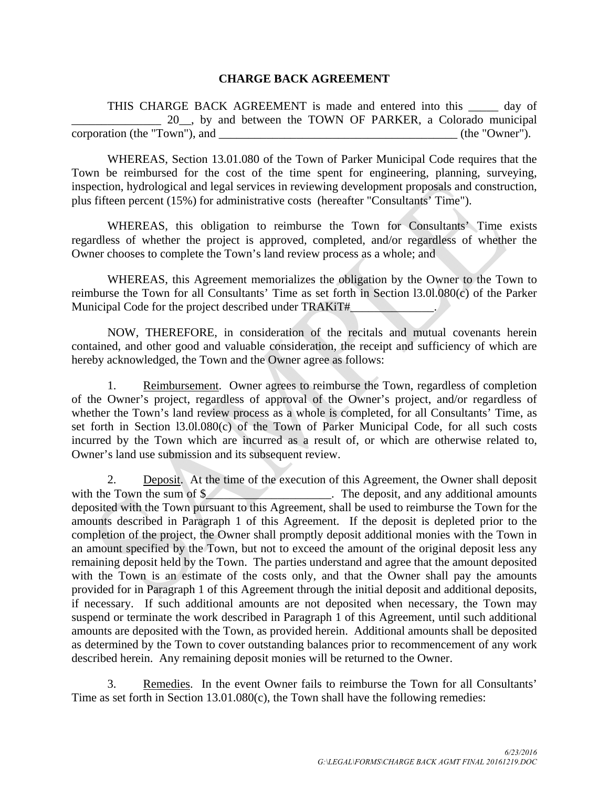## **CHARGE BACK AGREEMENT**

THIS CHARGE BACK AGREEMENT is made and entered into this \_\_\_\_\_ day of 20<sub>\_\_\_</sub>, by and between the TOWN OF PARKER, a Colorado municipal corporation (the "Town"), and \_\_\_\_\_\_\_\_\_\_\_\_\_\_\_\_\_\_\_\_\_\_\_\_\_\_\_\_\_\_\_\_\_\_\_\_\_\_\_\_ (the "Owner").

WHEREAS, Section 13.01.080 of the Town of Parker Municipal Code requires that the Town be reimbursed for the cost of the time spent for engineering, planning, surveying, inspection, hydrological and legal services in reviewing development proposals and construction, plus fifteen percent (15%) for administrative costs (hereafter "Consultants' Time").

WHEREAS, this obligation to reimburse the Town for Consultants' Time exists regardless of whether the project is approved, completed, and/or regardless of whether the Owner chooses to complete the Town's land review process as a whole; and

WHEREAS, this Agreement memorializes the obligation by the Owner to the Town to reimburse the Town for all Consultants' Time as set forth in Section l3.0l.080(c) of the Parker Municipal Code for the project described under TRAKiT#

NOW, THEREFORE, in consideration of the recitals and mutual covenants herein contained, and other good and valuable consideration, the receipt and sufficiency of which are hereby acknowledged, the Town and the Owner agree as follows:

1. Reimbursement. Owner agrees to reimburse the Town, regardless of completion of the Owner's project, regardless of approval of the Owner's project, and/or regardless of whether the Town's land review process as a whole is completed, for all Consultants' Time, as set forth in Section l3.0l.080(c) of the Town of Parker Municipal Code, for all such costs incurred by the Town which are incurred as a result of, or which are otherwise related to, Owner's land use submission and its subsequent review.

2. Deposit. At the time of the execution of this Agreement, the Owner shall deposit with the Town the sum of  $\frac{1}{2}$  The deposit, and any additional amounts deposited with the Town pursuant to this Agreement, shall be used to reimburse the Town for the amounts described in Paragraph 1 of this Agreement. If the deposit is depleted prior to the completion of the project, the Owner shall promptly deposit additional monies with the Town in an amount specified by the Town, but not to exceed the amount of the original deposit less any remaining deposit held by the Town. The parties understand and agree that the amount deposited with the Town is an estimate of the costs only, and that the Owner shall pay the amounts provided for in Paragraph 1 of this Agreement through the initial deposit and additional deposits, if necessary. If such additional amounts are not deposited when necessary, the Town may suspend or terminate the work described in Paragraph 1 of this Agreement, until such additional amounts are deposited with the Town, as provided herein. Additional amounts shall be deposited as determined by the Town to cover outstanding balances prior to recommencement of any work described herein. Any remaining deposit monies will be returned to the Owner.

3. Remedies. In the event Owner fails to reimburse the Town for all Consultants' Time as set forth in Section 13.01.080(c), the Town shall have the following remedies: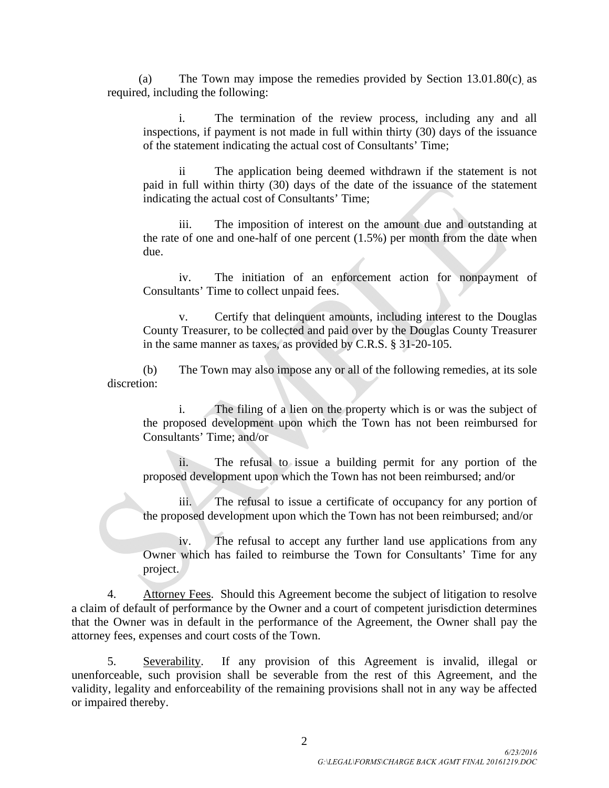(a) The Town may impose the remedies provided by Section 13.01.80(c), as required, including the following:

i. The termination of the review process, including any and all inspections, if payment is not made in full within thirty (30) days of the issuance of the statement indicating the actual cost of Consultants' Time;

ii The application being deemed withdrawn if the statement is not paid in full within thirty (30) days of the date of the issuance of the statement indicating the actual cost of Consultants' Time;

iii. The imposition of interest on the amount due and outstanding at the rate of one and one-half of one percent (1.5%) per month from the date when due.

iv. The initiation of an enforcement action for nonpayment of Consultants' Time to collect unpaid fees.

v. Certify that delinquent amounts, including interest to the Douglas County Treasurer, to be collected and paid over by the Douglas County Treasurer in the same manner as taxes, as provided by C.R.S. § 31-20-105.

(b) The Town may also impose any or all of the following remedies, at its sole discretion:

i. The filing of a lien on the property which is or was the subject of the proposed development upon which the Town has not been reimbursed for Consultants' Time; and/or

ii. The refusal to issue a building permit for any portion of the proposed development upon which the Town has not been reimbursed; and/or

The refusal to issue a certificate of occupancy for any portion of the proposed development upon which the Town has not been reimbursed; and/or

iv. The refusal to accept any further land use applications from any Owner which has failed to reimburse the Town for Consultants' Time for any project.

4. Attorney Fees. Should this Agreement become the subject of litigation to resolve a claim of default of performance by the Owner and a court of competent jurisdiction determines that the Owner was in default in the performance of the Agreement, the Owner shall pay the attorney fees, expenses and court costs of the Town.

5. Severability. If any provision of this Agreement is invalid, illegal or unenforceable, such provision shall be severable from the rest of this Agreement, and the validity, legality and enforceability of the remaining provisions shall not in any way be affected or impaired thereby.